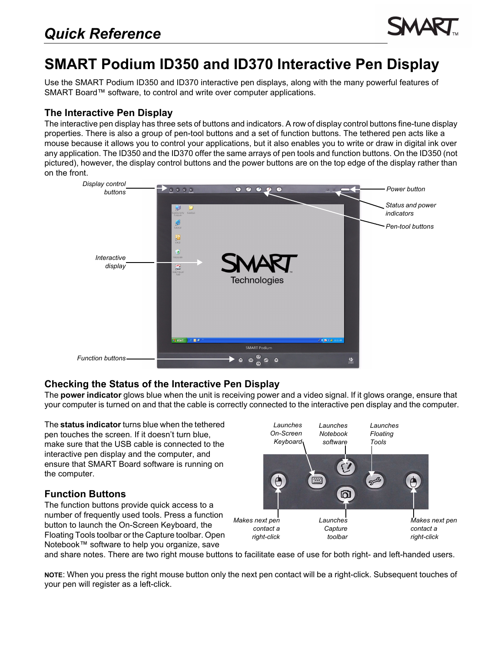

# **SMART Podium ID350 and ID370 Interactive Pen Display**

Use the SMART Podium ID350 and ID370 interactive pen displays, along with the many powerful features of SMART Board™ software, to control and write over computer applications.

### **The Interactive Pen Display**

The interactive pen display has three sets of buttons and indicators. A row of display control buttons fine-tune display properties. There is also a group of pen-tool buttons and a set of function buttons. The tethered pen acts like a mouse because it allows you to control your applications, but it also enables you to write or draw in digital ink over any application. The ID350 and the ID370 offer the same arrays of pen tools and function buttons. On the ID350 (not pictured), however, the display control buttons and the power buttons are on the top edge of the display rather than on the front.



## **Checking the Status of the Interactive Pen Display**

The **power indicator** glows blue when the unit is receiving power and a video signal. If it glows orange, ensure that your computer is turned on and that the cable is correctly connected to the interactive pen display and the computer.

The **status indicator** turns blue when the tethered pen touches the screen. If it doesn't turn blue, make sure that the USB cable is connected to the interactive pen display and the computer, and ensure that SMART Board software is running on the computer.

## **Function Buttons**

The function buttons provide quick access to a number of frequently used tools. Press a function button to launch the On-Screen Keyboard, the Floating Tools toolbar or the Capture toolbar. Open Notebook™ software to help you organize, save



and share notes. There are two right mouse buttons to facilitate ease of use for both right- and left-handed users.

**NOTE**: When you press the right mouse button only the next pen contact will be a right-click. Subsequent touches of your pen will register as a left-click.